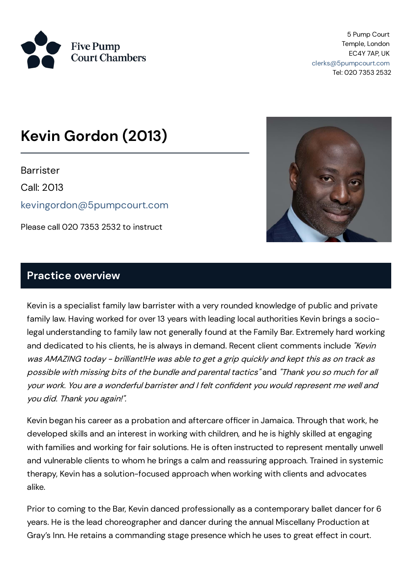

5 Pump Court Temple, London EC4Y 7AP, UK [clerks@5pumpcourt.com](mailto:clerks@5pumpcourt.com) Tel: 020 7353 2532

# **Kevin Gordon (2013)**

**Barrister** 

Call: 2013

[kevingordon@5pumpcourt.com](mailto:kevingordon@5pumpcourt.com)

Please call 020 7353 2532 to instruct



#### **Practice overview**

Kevin is a specialist family law barrister with a very rounded knowledge of public and private family law. Having worked for over 13 years with leading local authorities Kevin brings a sociolegal understanding to family law not generally found at the Family Bar. Extremely hard working and dedicated to his clients, he is always in demand. Recent client comments include "Kevin was AMAZING today - brilliant!He was able to get <sup>a</sup> grip quickly and kept this as on track as possible with missing bits of the bundle and parental tactics" and "Thank you so much for all your work. You are <sup>a</sup> wonderful barrister and I felt confident you would represent me well and you did. Thank you again!".

Kevin began his career as a probation and aftercare officer in Jamaica. Through that work, he developed skills and an interest in working with children, and he is highly skilled at engaging with families and working for fair solutions. He is often instructed to represent mentally unwell and vulnerable clients to whom he brings a calm and reassuring approach. Trained in systemic therapy, Kevin has a solution-focused approach when working with clients and advocates alike.

Prior to coming to the Bar, Kevin danced professionally as a contemporary ballet dancer for 6 years. He is the lead choreographer and dancer during the annual Miscellany Production at Gray's Inn. He retains a commanding stage presence which he uses to great effect in court.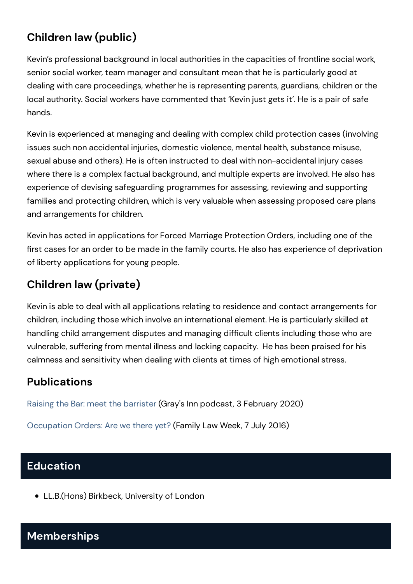## **Children law (public)**

Kevin's professional background in local authorities in the capacities of frontline social work, senior social worker, team manager and consultant mean that he is particularly good at dealing with care proceedings, whether he is representing parents, guardians, children or the local authority. Social workers have commented that 'Kevin just gets it'. He is a pair of safe hands.

Kevin is experienced at managing and dealing with complex child protection cases (involving issues such non accidental injuries, domestic violence, mental health, substance misuse, sexual abuse and others). He is often instructed to deal with non-accidental injury cases where there is a complex factual background, and multiple experts are involved. He also has experience of devising safeguarding programmes for assessing, reviewing and supporting families and protecting children, which is very valuable when assessing proposed care plans and arrangements for children.

Kevin has acted in applications for Forced Marriage Protection Orders, including one of the first cases for an order to be made in the family courts. He also has experience of deprivation of liberty applications for young people.

# **Children law (private)**

Kevin is able to deal with all applications relating to residence and contact arrangements for children, including those which involve an international element. He is particularly skilled at handling child arrangement disputes and managing difficult clients including those who are vulnerable, suffering from mental illness and lacking capacity. He has been praised for his calmness and sensitivity when dealing with clients at times of high emotionalstress.

### **Publications**

Raising the Bar: meet the [barrister](https://www.graysinn.org.uk/news/raising-the-bar-podcast-episode-9-meet-the-barrister-kevin-gordon) (Gray's Inn podcast, 3 February 2020)

[Occupation](https://www.familylawweek.co.uk/site.aspx?i=ed161661) Orders: Are we there yet?(Family Law Week, 7 July 2016)

### **Education**

LL.B.(Hons) Birkbeck, University of London